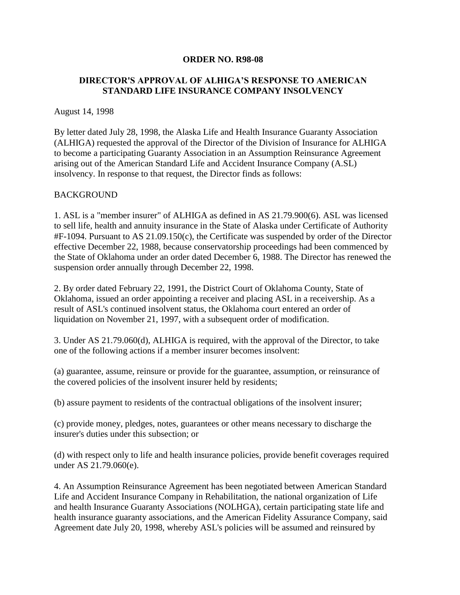#### **ORDER NO. R98-08**

## **DIRECTOR'S APPROVAL OF ALHIGA'S RESPONSE TO AMERICAN STANDARD LIFE INSURANCE COMPANY INSOLVENCY**

#### August 14, 1998

By letter dated July 28, 1998, the Alaska Life and Health Insurance Guaranty Association (ALHIGA) requested the approval of the Director of the Division of Insurance for ALHIGA to become a participating Guaranty Association in an Assumption Reinsurance Agreement arising out of the American Standard Life and Accident Insurance Company (A.SL) insolvency. In response to that request, the Director finds as follows:

### BACKGROUND

1. ASL is a "member insurer" of ALHIGA as defined in AS 21.79.900(6). ASL was licensed to sell life, health and annuity insurance in the State of Alaska under Certificate of Authority #F-1094. Pursuant to AS 21.09.150(c), the Certificate was suspended by order of the Director effective December 22, 1988, because conservatorship proceedings had been commenced by the State of Oklahoma under an order dated December 6, 1988. The Director has renewed the suspension order annually through December 22, 1998.

2. By order dated February 22, 1991, the District Court of Oklahoma County, State of Oklahoma, issued an order appointing a receiver and placing ASL in a receivership. As a result of ASL's continued insolvent status, the Oklahoma court entered an order of liquidation on November 21, 1997, with a subsequent order of modification.

3. Under AS 21.79.060(d), ALHIGA is required, with the approval of the Director, to take one of the following actions if a member insurer becomes insolvent:

(a) guarantee, assume, reinsure or provide for the guarantee, assumption, or reinsurance of the covered policies of the insolvent insurer held by residents;

(b) assure payment to residents of the contractual obligations of the insolvent insurer;

(c) provide money, pledges, notes, guarantees or other means necessary to discharge the insurer's duties under this subsection; or

(d) with respect only to life and health insurance policies, provide benefit coverages required under AS 21.79.060(e).

4. An Assumption Reinsurance Agreement has been negotiated between American Standard Life and Accident Insurance Company in Rehabilitation, the national organization of Life and health Insurance Guaranty Associations (NOLHGA), certain participating state life and health insurance guaranty associations, and the American Fidelity Assurance Company, said Agreement date July 20, 1998, whereby ASL's policies will be assumed and reinsured by